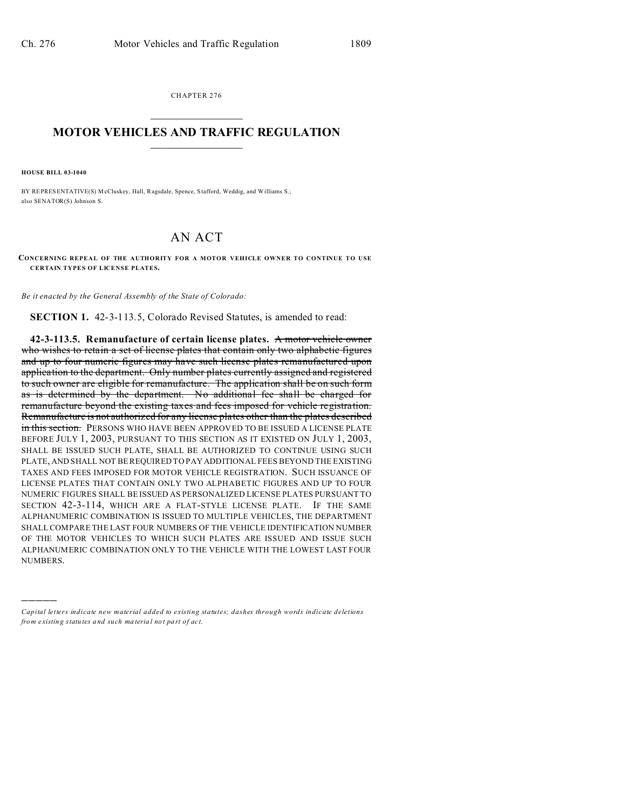CHAPTER 276  $\overline{\phantom{a}}$  , where  $\overline{\phantom{a}}$ 

## **MOTOR VEHICLES AND TRAFFIC REGULATION**  $\frac{1}{2}$  ,  $\frac{1}{2}$  ,  $\frac{1}{2}$  ,  $\frac{1}{2}$  ,  $\frac{1}{2}$  ,  $\frac{1}{2}$  ,  $\frac{1}{2}$

**HOUSE BILL 03-1040**

)))))

BY REPRESENTATIVE(S) McCluskey, Hall, Ragsdale, Spence, Stafford, Weddig, and Williams S.; also SENATOR(S) Johnson S.

## AN ACT

**CONCERNING REPEAL OF THE AUTHORITY FOR A MOTOR VEHICLE OWNER TO CONTINUE TO USE CERTAIN TYPES OF LICENSE PLATES.**

*Be it enacted by the General Assembly of the State of Colorado:*

**SECTION 1.** 42-3-113.5, Colorado Revised Statutes, is amended to read:

**42-3-113.5. Remanufacture of certain license plates.** A motor vehicle owner who wishes to retain a set of license plates that contain only two alphabetic figures and up to four numeric figures may have such license plates remanufactured upon application to the department. Only number plates currently assigned and registered to such owner are eligible for remanufacture. The application shall be on such form as is determined by the department. No additional fee shall be charged for remanufacture beyond the existing taxes and fees imposed for vehicle registration. Remanufacture is not authorized for any license plates other than the plates described in this section. PERSONS WHO HAVE BEEN APPROVED TO BE ISSUED A LICENSE PLATE BEFORE JULY 1, 2003, PURSUANT TO THIS SECTION AS IT EXISTED ON JULY 1, 2003, SHALL BE ISSUED SUCH PLATE, SHALL BE AUTHORIZED TO CONTINUE USING SUCH PLATE, AND SHALL NOT BE REQUIRED TO PAY ADDITIONAL FEES BEYOND THE EXISTING TAXES AND FEES IMPOSED FOR MOTOR VEHICLE REGISTRATION. SUCH ISSUANCE OF LICENSE PLATES THAT CONTAIN ONLY TWO ALPHABETIC FIGURES AND UP TO FOUR NUMERIC FIGURES SHALL BE ISSUED AS PERSONALIZED LICENSE PLATES PURSUANT TO SECTION 42-3-114, WHICH ARE A FLAT-STYLE LICENSE PLATE. IF THE SAME ALPHANUMERIC COMBINATION IS ISSUED TO MULTIPLE VEHICLES, THE DEPARTMENT SHALL COMPARE THE LAST FOUR NUMBERS OF THE VEHICLE IDENTIFICATION NUMBER OF THE MOTOR VEHICLES TO WHICH SUCH PLATES ARE ISSUED AND ISSUE SUCH ALPHANUMERIC COMBINATION ONLY TO THE VEHICLE WITH THE LOWEST LAST FOUR NUMBERS.

*Capital letters indicate new material added to existing statutes; dashes through words indicate deletions from e xistin g statu tes a nd such ma teria l no t pa rt of ac t.*